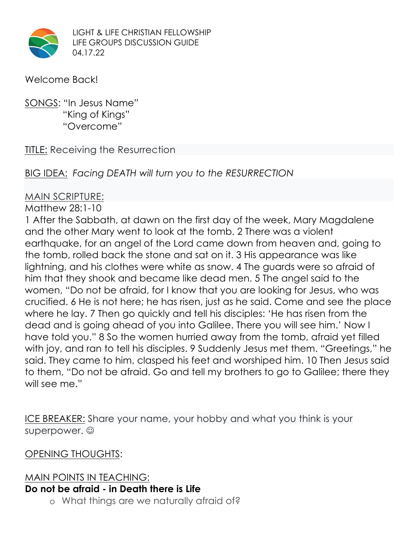

LIGHT & LIFE CHRISTIAN FELLOWSHIP LIFE GROUPS DISCUSSION GUIDE 04.17.22

#### Welcome Back!

### SONGS: "In Jesus Name" "King of Kings" "Overcome"

#### TITLE: Receiving the Resurrection

## BIG IDEA: *Facing DEATH will turn you to the RESURRECTION*

#### MAIN SCRIPTURE:

Matthew 28:1-10

1 After the Sabbath, at dawn on the first day of the week, Mary Magdalene and the other Mary went to look at the tomb. 2 There was a violent earthquake, for an angel of the Lord came down from heaven and, going to the tomb, rolled back the stone and sat on it. 3 His appearance was like lightning, and his clothes were white as snow. 4 The guards were so afraid of him that they shook and became like dead men. 5 The angel said to the women, "Do not be afraid, for I know that you are looking for Jesus, who was crucified. 6 He is not here; he has risen, just as he said. Come and see the place where he lay. 7 Then go quickly and tell his disciples: 'He has risen from the dead and is going ahead of you into Galilee. There you will see him.' Now I have told you." 8 So the women hurried away from the tomb, afraid yet filled with joy, and ran to tell his disciples. 9 Suddenly Jesus met them. "Greetings," he said. They came to him, clasped his feet and worshiped him. 10 Then Jesus said to them, "Do not be afraid. Go and tell my brothers to go to Galilee; there they will see me."

ICE BREAKER: Share your name, your hobby and what you think is your superpower.  $\odot$ 

OPENING THOUGHTS:

# MAIN POINTS IN TEACHING: **Do not be afraid - in Death there is Life**

o What things are we naturally afraid of?